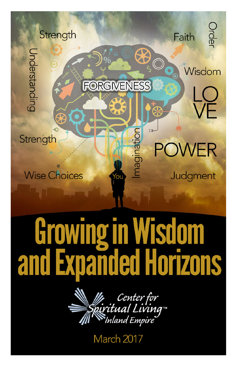

## **Sdom** Growing in  $\bf{V}$ **nanded Horizons** and



March 2017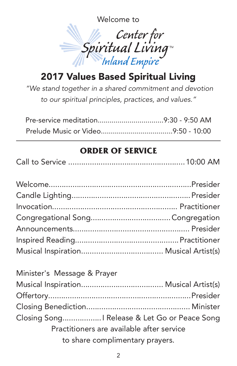Welcome to



## 2017 Values Based Spiritual Living

*"We stand together in a shared commitment and devotion to our spiritual principles, practices, and values."*

## **ORDER OF SERVICE**

| Minister's Message & Prayer                 |  |
|---------------------------------------------|--|
|                                             |  |
|                                             |  |
|                                             |  |
| Closing Song Release & Let Go or Peace Song |  |
| Practitioners are available after service   |  |
| to share complimentary prayers.             |  |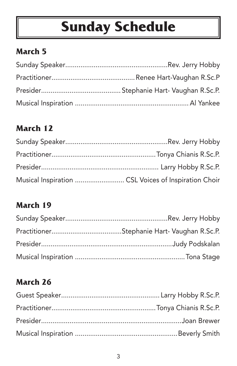# **Sunday Schedule**

## **March 5**

## **March 12**

| Musical Inspiration  CSL Voices of Inspiration Choir |  |
|------------------------------------------------------|--|

### **March 19**

## **March 26**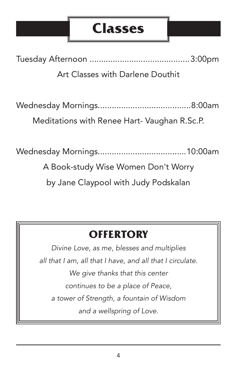## **Classes**

Tuesday Afternoon ...........................................3:00pm

Art Classes with Darlene Douthit

Wednesday Mornings........................................8:00am

Meditations with Renee Hart- Vaughan R.Sc.P.

Wednesday Mornings......................................10:00am

A Book-study Wise Women Don't Worry

by Jane Claypool with Judy Podskalan

## **OFFERTORY**

*Divine Love, as me, blesses and multiplies all that I am, all that I have, and all that I circulate. We give thanks that this center continues to be a place of Peace, a tower of Strength, a fountain of Wisdom and a wellspring of Love.*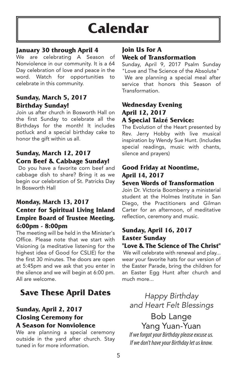## **Calendar**

#### **January 30 through April 4**

We are celebrating A Season of Nonviolence in our community. It is a 64 Day celebration of love and peace in the word. Watch for opportunities to celebrate in this community.

#### **Sunday, March 5, 2017 Birthday Sunday!**

Join us after church in Bosworth Hall on the first Sunday to celebrate all the Birthdays for the month! It includes potluck and a special birthday cake to honor the gift within us all.

#### **Sunday, March 12, 2017 Corn Beef & Cabbage Sunday!**

Do you have a favorite corn beef and cabbage dish to share? Bring it as we begin our celebration of St. Patricks Day In Bosworth Hall

#### **Monday, March 13, 2017 Center for Spiritual Living Inland Empire Board of Trustee Meeting. 6:00pm - 8:00pm**

The meeting will be held in the Minister's Office. Please note that we start with Visioning (a meditative listening for the highest idea of Good for CSLIE) for the the first 30 minutes. The doors are open at 5:45pm and we ask that you enter in the silence and we will begin at 6:00 pm. All are welcome.

### **Save These April Dates**

#### **Sunday, April 2, 2017 Closing Ceremony for A Season for Nonviolence**

We are planning a special ceremony outside in the yard after church. Stay tuned in for more information.

#### **Join Us For A Week of Transformation**

Sunday, April 9, 2017 Psalm Sunday "Love and The Science of the Absolute"

We are planning a special meal after service that honors this Season of **Transformation** 

#### **Wednesday Evening April 12, 2017 A Special Taizé Service:**

The Evolution of the Heart presented by Rev. Jerry Hobby with live musical inspiration by Wendy Sue Hunt. (Includes special readings, music with chants, silence and prayers)

#### **Good Friday at Noontime, April 14, 2017**

#### **Seven Words of Transformation**

Join Dr. Victoria Boomberry a ministerial student at the Holmes Institute in San Diego, the Practitioners and Gilman Carter for an afternoon, of meditative reflection, ceremony and music.

#### **Sunday, April 16, 2017 Easter Sunday**

#### **"Love & The Science of The Christ"**

We will celebrate with renewal and play... wear your favorite hats for our version of the Easter Parade, bring the children for an Easter Egg Hunt after church and much more...

*Happy Birthday and Heart Felt Blessings*

### Bob Lange Yang Yuan-Yuan

If we forgot your Birthday please excuse us. If we don't have your Birthday let us know.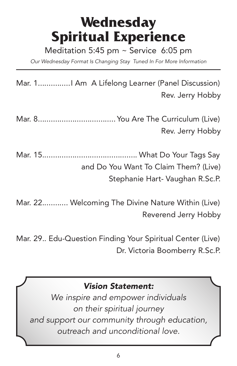## **Wednesday Spiritual Experience**

Meditation 5:45 pm  $\sim$  Service 6:05 pm

*Our Wednesday Format Is Changing Stay Tuned In For More Information*

Mar. 1...............I Am A Lifelong Learner (Panel Discussion) Rev. Jerry Hobby

Mar. 8.................................... You Are The Curriculum (Live) Rev. Jerry Hobby

Mar. 15............................................ What Do Your Tags Say and Do You Want To Claim Them? (Live) Stephanie Hart- Vaughan R.Sc.P.

Mar. 22............ Welcoming The Divine Nature Within (Live) Reverend Jerry Hobby

Mar. 29.. Edu-Question Finding Your Spiritual Center (Live) Dr. Victoria Boomberry R.Sc.P.

#### *Vision Statement:*

*We inspire and empower individuals on their spiritual journey and support our community through education, outreach and unconditional love.*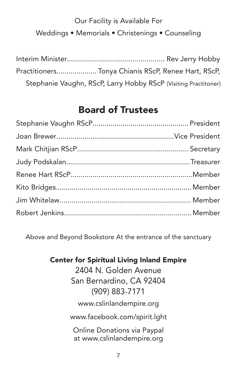## Our Facility is Available For Weddings • Memorials • Christenings • Counseling

| Practitioners Tonya Chianis RScP, Renee Hart, RScP,             |  |
|-----------------------------------------------------------------|--|
| Stephanie Vaughn, RScP, Larry Hobby RScP (Visiting Practitoner) |  |

## Board of Trustees

Above and Beyond Bookstore At the entrance of the sanctuary

Center for Spiritual Living Inland Empire

2404 N. Golden Avenue San Bernardino, CA 92404 (909) 883-7171

www.cslinlandempire.org

www.facebook.com/spirit.lght

Online Donations via Paypal at www.cslinlandempire.org